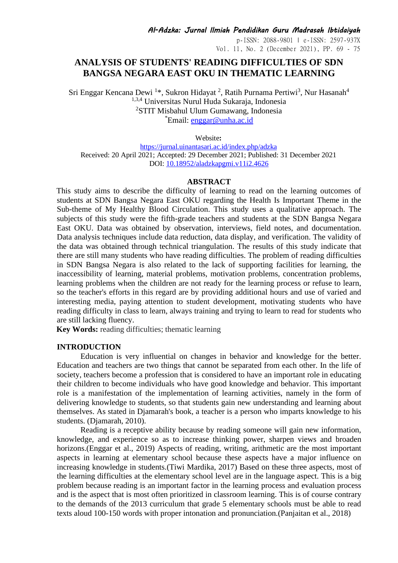p-ISSN: 2088-9801 | e-ISSN: 2597-937X Vol. 11, No. 2 (December 2021), PP. 69 - 75

# **ANALYSIS OF STUDENTS' READING DIFFICULTIES OF SDN BANGSA NEGARA EAST OKU IN THEMATIC LEARNING**

Sri Enggar Kencana Dewi <sup>1</sup>\*, Sukron Hidayat <sup>2</sup>, Ratih Purnama Pertiwi<sup>3</sup>, Nur Hasanah<sup>4</sup> 1,3,4 Universitas Nurul Huda Sukaraja, Indonesia <sup>2</sup>STIT Misbahul Ulum Gumawang, Indonesia \*Email: [enggar@unha.ac.id](mailto:enggar@unha.ac.id)

Website**:**

<https://jurnal.uinantasari.ac.id/index.php/adzka> Received: 20 April 2021; Accepted: 29 December 2021; Published: 31 December 2021 DOI: 10.18952/aladzkapgmi.v11i2.4626

#### **ABSTRACT**

This study aims to describe the difficulty of learning to read on the learning outcomes of students at SDN Bangsa Negara East OKU regarding the Health Is Important Theme in the Sub-theme of My Healthy Blood Circulation. This study uses a qualitative approach. The subjects of this study were the fifth-grade teachers and students at the SDN Bangsa Negara East OKU. Data was obtained by observation, interviews, field notes, and documentation. Data analysis techniques include data reduction, data display, and verification. The validity of the data was obtained through technical triangulation. The results of this study indicate that there are still many students who have reading difficulties. The problem of reading difficulties in SDN Bangsa Negara is also related to the lack of supporting facilities for learning, the inaccessibility of learning, material problems, motivation problems, concentration problems, learning problems when the children are not ready for the learning process or refuse to learn, so the teacher's efforts in this regard are by providing additional hours and use of varied and interesting media, paying attention to student development, motivating students who have reading difficulty in class to learn, always training and trying to learn to read for students who are still lacking fluency.

**Key Words:** reading difficulties; thematic learning

#### **INTRODUCTION**

Education is very influential on changes in behavior and knowledge for the better. Education and teachers are two things that cannot be separated from each other. In the life of society, teachers become a profession that is considered to have an important role in educating their children to become individuals who have good knowledge and behavior. This important role is a manifestation of the implementation of learning activities, namely in the form of delivering knowledge to students, so that students gain new understanding and learning about themselves. As stated in Djamarah's book, a teacher is a person who imparts knowledge to his students. (Djamarah, 2010).

Reading is a receptive ability because by reading someone will gain new information, knowledge, and experience so as to increase thinking power, sharpen views and broaden horizons.(Enggar et al., 2019) Aspects of reading, writing, arithmetic are the most important aspects in learning at elementary school because these aspects have a major influence on increasing knowledge in students.(Tiwi Mardika, 2017) Based on these three aspects, most of the learning difficulties at the elementary school level are in the language aspect. This is a big problem because reading is an important factor in the learning process and evaluation process and is the aspect that is most often prioritized in classroom learning. This is of course contrary to the demands of the 2013 curriculum that grade 5 elementary schools must be able to read texts aloud 100-150 words with proper intonation and pronunciation.(Panjaitan et al., 2018)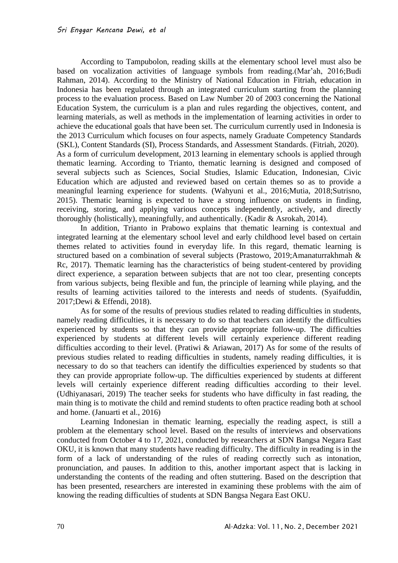According to Tampubolon, reading skills at the elementary school level must also be based on vocalization activities of language symbols from reading.(Mar'ah, 2016;Budi Rahman, 2014). According to the Ministry of National Education in Fitriah, education in Indonesia has been regulated through an integrated curriculum starting from the planning process to the evaluation process. Based on Law Number 20 of 2003 concerning the National Education System, the curriculum is a plan and rules regarding the objectives, content, and learning materials, as well as methods in the implementation of learning activities in order to achieve the educational goals that have been set. The curriculum currently used in Indonesia is the 2013 Curriculum which focuses on four aspects, namely Graduate Competency Standards (SKL), Content Standards (SI), Process Standards, and Assessment Standards. (Fitriah, 2020). As a form of curriculum development, 2013 learning in elementary schools is applied through thematic learning. According to Trianto, thematic learning is designed and composed of several subjects such as Sciences, Social Studies, Islamic Education, Indonesian, Civic Education which are adjusted and reviewed based on certain themes so as to provide a meaningful learning experience for students. (Wahyuni et al., 2016;Mutia, 2018;Sutrisno, 2015). Thematic learning is expected to have a strong influence on students in finding, receiving, storing, and applying various concepts independently, actively, and directly thoroughly (holistically), meaningfully, and authentically. (Kadir & Asrokah, 2014).

In addition, Trianto in Prabowo explains that thematic learning is contextual and integrated learning at the elementary school level and early childhood level based on certain themes related to activities found in everyday life. In this regard, thematic learning is structured based on a combination of several subjects (Prastowo, 2019;Amanaturrakhmah & Rc, 2017). Thematic learning has the characteristics of being student-centered by providing direct experience, a separation between subjects that are not too clear, presenting concepts from various subjects, being flexible and fun, the principle of learning while playing, and the results of learning activities tailored to the interests and needs of students. (Syaifuddin, 2017;Dewi & Effendi, 2018).

As for some of the results of previous studies related to reading difficulties in students, namely reading difficulties, it is necessary to do so that teachers can identify the difficulties experienced by students so that they can provide appropriate follow-up. The difficulties experienced by students at different levels will certainly experience different reading difficulties according to their level. (Pratiwi & Ariawan, 2017) As for some of the results of previous studies related to reading difficulties in students, namely reading difficulties, it is necessary to do so that teachers can identify the difficulties experienced by students so that they can provide appropriate follow-up. The difficulties experienced by students at different levels will certainly experience different reading difficulties according to their level. (Udhiyanasari, 2019) The teacher seeks for students who have difficulty in fast reading, the main thing is to motivate the child and remind students to often practice reading both at school and home. (Januarti et al., 2016)

Learning Indonesian in thematic learning, especially the reading aspect, is still a problem at the elementary school level. Based on the results of interviews and observations conducted from October 4 to 17, 2021, conducted by researchers at SDN Bangsa Negara East OKU, it is known that many students have reading difficulty. The difficulty in reading is in the form of a lack of understanding of the rules of reading correctly such as intonation, pronunciation, and pauses. In addition to this, another important aspect that is lacking in understanding the contents of the reading and often stuttering. Based on the description that has been presented, researchers are interested in examining these problems with the aim of knowing the reading difficulties of students at SDN Bangsa Negara East OKU.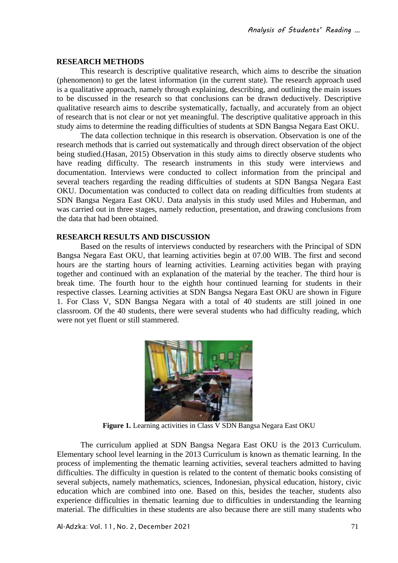## **RESEARCH METHODS**

This research is descriptive qualitative research, which aims to describe the situation (phenomenon) to get the latest information (in the current state). The research approach used is a qualitative approach, namely through explaining, describing, and outlining the main issues to be discussed in the research so that conclusions can be drawn deductively. Descriptive qualitative research aims to describe systematically, factually, and accurately from an object of research that is not clear or not yet meaningful. The descriptive qualitative approach in this study aims to determine the reading difficulties of students at SDN Bangsa Negara East OKU.

The data collection technique in this research is observation. Observation is one of the research methods that is carried out systematically and through direct observation of the object being studied.(Hasan, 2015) Observation in this study aims to directly observe students who have reading difficulty. The research instruments in this study were interviews and documentation. Interviews were conducted to collect information from the principal and several teachers regarding the reading difficulties of students at SDN Bangsa Negara East OKU. Documentation was conducted to collect data on reading difficulties from students at SDN Bangsa Negara East OKU. Data analysis in this study used Miles and Huberman, and was carried out in three stages, namely reduction, presentation, and drawing conclusions from the data that had been obtained.

# **RESEARCH RESULTS AND DISCUSSION**

Based on the results of interviews conducted by researchers with the Principal of SDN Bangsa Negara East OKU, that learning activities begin at 07.00 WIB. The first and second hours are the starting hours of learning activities. Learning activities began with praying together and continued with an explanation of the material by the teacher. The third hour is break time. The fourth hour to the eighth hour continued learning for students in their respective classes. Learning activities at SDN Bangsa Negara East OKU are shown in Figure 1. For Class V, SDN Bangsa Negara with a total of 40 students are still joined in one classroom. Of the 40 students, there were several students who had difficulty reading, which were not yet fluent or still stammered.



**Figure 1.** Learning activities in Class V SDN Bangsa Negara East OKU

The curriculum applied at SDN Bangsa Negara East OKU is the 2013 Curriculum. Elementary school level learning in the 2013 Curriculum is known as thematic learning. In the process of implementing the thematic learning activities, several teachers admitted to having difficulties. The difficulty in question is related to the content of thematic books consisting of several subjects, namely mathematics, sciences, Indonesian, physical education, history, civic education which are combined into one. Based on this, besides the teacher, students also experience difficulties in thematic learning due to difficulties in understanding the learning material. The difficulties in these students are also because there are still many students who

Al-Adzka: Vol. 11, No. 2, December 2021 71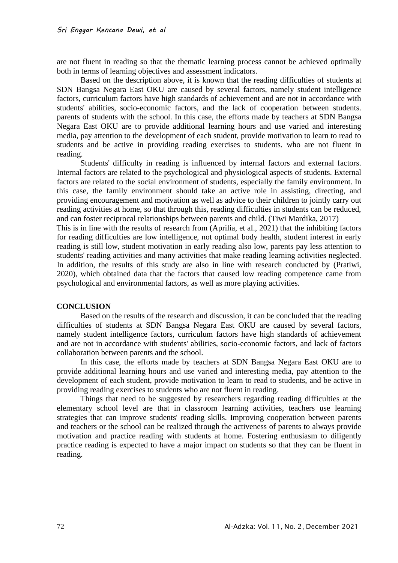are not fluent in reading so that the thematic learning process cannot be achieved optimally both in terms of learning objectives and assessment indicators.

Based on the description above, it is known that the reading difficulties of students at SDN Bangsa Negara East OKU are caused by several factors, namely student intelligence factors, curriculum factors have high standards of achievement and are not in accordance with students' abilities, socio-economic factors, and the lack of cooperation between students. parents of students with the school. In this case, the efforts made by teachers at SDN Bangsa Negara East OKU are to provide additional learning hours and use varied and interesting media, pay attention to the development of each student, provide motivation to learn to read to students and be active in providing reading exercises to students. who are not fluent in reading.

Students' difficulty in reading is influenced by internal factors and external factors. Internal factors are related to the psychological and physiological aspects of students. External factors are related to the social environment of students, especially the family environment. In this case, the family environment should take an active role in assisting, directing, and providing encouragement and motivation as well as advice to their children to jointly carry out reading activities at home, so that through this, reading difficulties in students can be reduced, and can foster reciprocal relationships between parents and child. (Tiwi Mardika, 2017)

This is in line with the results of research from (Aprilia, et al., 2021) that the inhibiting factors for reading difficulties are low intelligence, not optimal body health, student interest in early reading is still low, student motivation in early reading also low, parents pay less attention to students' reading activities and many activities that make reading learning activities neglected. In addition, the results of this study are also in line with research conducted by (Pratiwi, 2020), which obtained data that the factors that caused low reading competence came from psychological and environmental factors, as well as more playing activities.

## **CONCLUSION**

Based on the results of the research and discussion, it can be concluded that the reading difficulties of students at SDN Bangsa Negara East OKU are caused by several factors, namely student intelligence factors, curriculum factors have high standards of achievement and are not in accordance with students' abilities, socio-economic factors, and lack of factors collaboration between parents and the school.

In this case, the efforts made by teachers at SDN Bangsa Negara East OKU are to provide additional learning hours and use varied and interesting media, pay attention to the development of each student, provide motivation to learn to read to students, and be active in providing reading exercises to students who are not fluent in reading.

Things that need to be suggested by researchers regarding reading difficulties at the elementary school level are that in classroom learning activities, teachers use learning strategies that can improve students' reading skills. Improving cooperation between parents and teachers or the school can be realized through the activeness of parents to always provide motivation and practice reading with students at home. Fostering enthusiasm to diligently practice reading is expected to have a major impact on students so that they can be fluent in reading.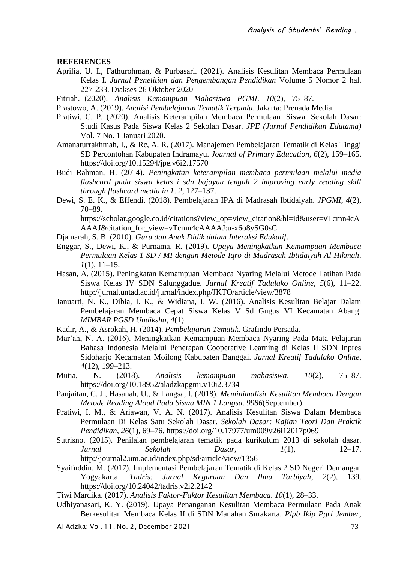## **REFERENCES**

- Aprilia, U. I., Fathurohman, & Purbasari. (2021). Analisis Kesulitan Membaca Permulaan Kelas I. *Jurnal Penelitian dan Pengembangan Pendidikan* Volume 5 Nomor 2 hal. 227-233. Diakses 26 Oktober 2020
- Fitriah. (2020). *Analisis Kemampuan Mahasiswa PGMI*. *10*(2), 75–87.
- Prastowo, A. (2019). *Analisi Pembelajaran Tematik Terpadu*. Jakarta: Prenada Media.
- Pratiwi, C. P. (2020). Analisis Keterampilan Membaca Permulaan Siswa Sekolah Dasar: Studi Kasus Pada Siswa Kelas 2 Sekolah Dasar. *JPE (Jurnal Pendidikan Edutama)* Vol. 7 No. 1 Januari 2020.
- Amanaturrakhmah, I., & Rc, A. R. (2017). Manajemen Pembelajaran Tematik di Kelas Tinggi SD Percontohan Kabupaten Indramayu. *Journal of Primary Education*, *6*(2), 159–165. https://doi.org/10.15294/jpe.v6i2.17570
- Budi Rahman, H. (2014). *Peningkatan keterampilan membaca permulaan melalui media flashcard pada siswa kelas i sdn bajayau tengah 2 improving early reading skill through flashcard media in 1*. *2*, 127–137.
- Dewi, S. E. K., & Effendi. (2018). Pembelajaran IPA di Madrasah Ibtidaiyah. *JPGMI*, *4*(2), 70–89.

https://scholar.google.co.id/citations?view\_op=view\_citation&hl=id&user=vTcmn4cA AAAJ&citation\_for\_view=vTcmn4cAAAAJ:u-x6o8ySG0sC

- Djamarah, S. B. (2010). *Guru dan Anak Didik dalam Interaksi Edukatif*.
- Enggar, S., Dewi, K., & Purnama, R. (2019). *Upaya Meningkatkan Kemampuan Membaca Permulaan Kelas 1 SD / MI dengan Metode Iqro di Madrasah Ibtidaiyah Al Hikmah*. *1*(1), 11–15.
- Hasan, A. (2015). Peningkatan Kemampuan Membaca Nyaring Melalui Metode Latihan Pada Siswa Kelas IV SDN Salunggadue. *Jurnal Kreatif Tadulako Online*, *5*(6), 11–22. http://jurnal.untad.ac.id/jurnal/index.php/JKTO/article/view/3878
- Januarti, N. K., Dibia, I. K., & Widiana, I. W. (2016). Analisis Kesulitan Belajar Dalam Pembelajaran Membaca Cepat Siswa Kelas V Sd Gugus VI Kecamatan Abang. *MIMBAR PGSD Undiksha*, *4*(1).
- Kadir, A., & Asrokah, H. (2014). *Pembelajaran Tematik*. Grafindo Persada.
- Mar'ah, N. A. (2016). Meningkatkan Kemampuan Membaca Nyaring Pada Mata Pelajaran Bahasa Indonesia Melalui Penerapan Cooperative Learning di Kelas II SDN Inpres Sidoharjo Kecamatan Moilong Kabupaten Banggai. *Jurnal Kreatif Tadulako Online*, *4*(12), 199–213.
- Mutia, N. (2018). *Analisis kemampuan mahasiswa*. *10*(2), 75–87. https://doi.org/10.18952/aladzkapgmi.v10i2.3734
- Panjaitan, C. J., Hasanah, U., & Langsa, I. (2018). *Meminimalisir Kesulitan Membaca Dengan Metode Reading Aloud Pada Siswa MIN 1 Langsa*. *9986*(September).
- Pratiwi, I. M., & Ariawan, V. A. N. (2017). Analisis Kesulitan Siswa Dalam Membaca Permulaan Di Kelas Satu Sekolah Dasar. *Sekolah Dasar: Kajian Teori Dan Praktik Pendidikan*, *26*(1), 69–76. https://doi.org/10.17977/um009v26i12017p069
- Sutrisno. (2015). Penilaian pembelajaran tematik pada kurikulum 2013 di sekolah dasar. *Jurnal Sekolah Dasar*, *1*(1), 12–17. http://journal2.um.ac.id/index.php/sd/article/view/1356
- Syaifuddin, M. (2017). Implementasi Pembelajaran Tematik di Kelas 2 SD Negeri Demangan Yogyakarta. *Tadris: Jurnal Keguruan Dan Ilmu Tarbiyah*, *2*(2), 139. https://doi.org/10.24042/tadris.v2i2.2142
- Tiwi Mardika. (2017). *Analisis Faktor-Faktor Kesulitan Membaca*. *10*(1), 28–33.
- Udhiyanasari, K. Y. (2019). Upaya Penanganan Kesulitan Membaca Permulaan Pada Anak Berkesulitan Membaca Kelas II di SDN Manahan Surakarta. *Plpb Ikip Pgri Jember*,
- Al-Adzka: Vol. 11, No. 2, December 2021 73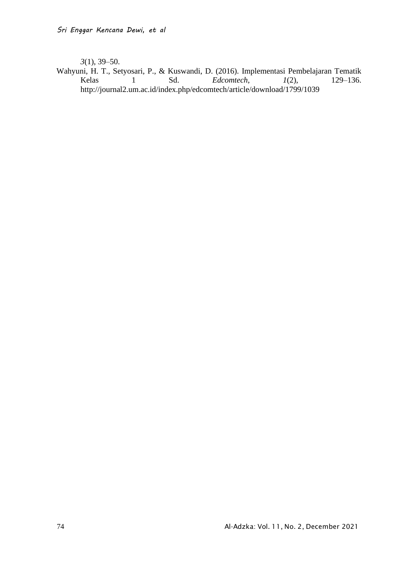*3*(1), 39–50.

Wahyuni, H. T., Setyosari, P., & Kuswandi, D. (2016). Implementasi Pembelajaran Tematik<br>Kelas 1 Sd. *Edcomtech*, 1(2), 129-136.  $Edcomtech,$ http://journal2.um.ac.id/index.php/edcomtech/article/download/1799/1039